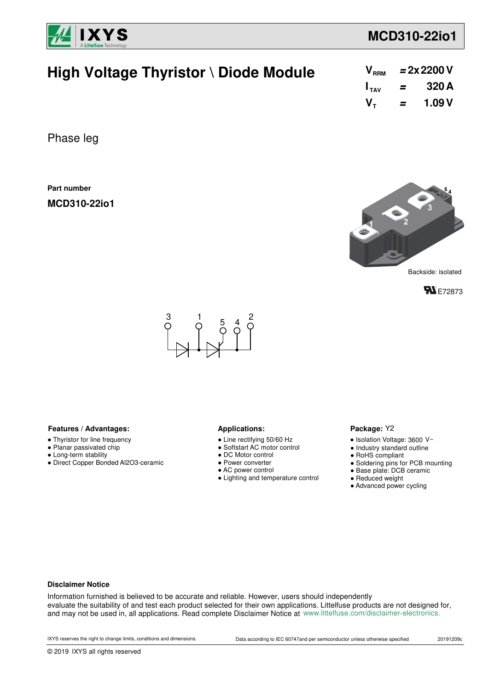

## **MCD310-22io1**

| High Voltage Thyristor \ Diode Module | $V_{RRM}$ = 2x 2200 V   |  |
|---------------------------------------|-------------------------|--|
|                                       | $I_{\text{av}}$ = 320 A |  |
|                                       | $V_{\tau}$ = 1.09 V     |  |
|                                       |                         |  |

Phase leg

**Part number**

**MCD310-22io1**



Backside: isolated





#### Features / Advantages: **All Applications: Applications:**

- Thyristor for line frequency
- Planar passivated chip
- Long-term stability
- Direct Copper Bonded Al2O3-ceramic

- Line rectifying 50/60 Hz
- Softstart AC motor control
- DC Motor control
- Power converter
- AC power control
- Lighting and temperature control

#### Package: Y2

- $\bullet$  Isolation Voltage: 3600 V~
- Industry standard outline
- RoHS compliant
- Soldering pins for PCB mounting
- Base plate: DCB ceramic
- Reduced weight
- Advanced power cycling

#### **Disclaimer Notice**

Information furnished is believed to be accurate and reliable. However, users should independently evaluate the suitability of and test each product selected for their own applications. Littelfuse products are not designed for, and may not be used in, all applications. Read complete Disclaimer Notice at www.littelfuse.com/disclaimer-electronics.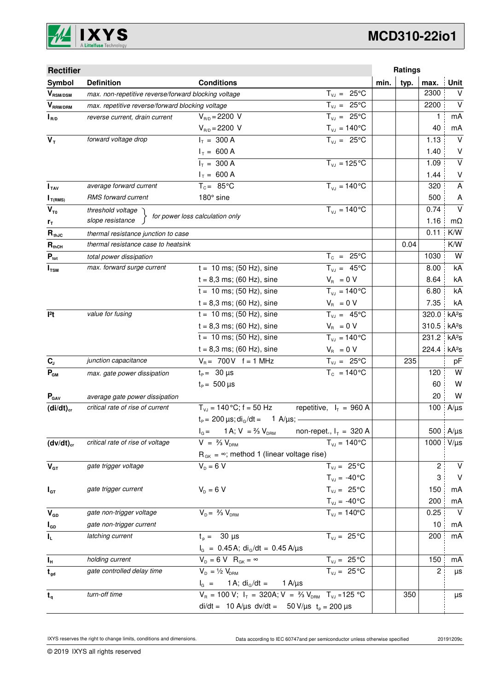

# **MCD310-22io1**

| <b>Rectifier</b>          |                                                      |                                                                                          |                                | Ratings      |       |                         |
|---------------------------|------------------------------------------------------|------------------------------------------------------------------------------------------|--------------------------------|--------------|-------|-------------------------|
| Symbol                    | <b>Definition</b>                                    | <b>Conditions</b>                                                                        |                                | typ.<br>min. | max.  | <b>Unit</b>             |
| $\bm{V}_{\text{RSM/DSM}}$ | max. non-repetitive reverse/forward blocking voltage |                                                                                          | $T_{VJ} = 25^{\circ}C$         |              | 2300  | $\vee$                  |
| $V_{\tiny\text{RRM/DRM}}$ | max. repetitive reverse/forward blocking voltage     |                                                                                          | $T_{VJ} = 25^{\circ}C$         |              | 2200  | $\vee$                  |
| $I_{R/D}$                 | reverse current, drain current                       | $V_{B/D} = 2200 V$                                                                       | $T_{VJ} = 25^{\circ}C$         |              | 1     | mA                      |
|                           |                                                      | $V_{R/D} = 2200 V$                                                                       | $T_{\nu J} = 140^{\circ}C$     |              | 40    | mA                      |
| $V_T$                     | forward voltage drop                                 | $I_T = 300 A$                                                                            | $T_{V,1} = 25^{\circ}C$        |              | 1.13  | $\vee$                  |
|                           |                                                      | $I_T = 600 A$                                                                            |                                |              | 1.40  | V                       |
|                           |                                                      | $I_T = 300 A$                                                                            | $T_{VJ} = 125$ °C              |              | 1.09  | $\overline{\mathsf{v}}$ |
|                           |                                                      | $I_T = 600 A$                                                                            |                                |              | 1.44  | $\sf V$                 |
| I <sub>TAV</sub>          | average forward current                              | $T_c = 85^{\circ}$ C                                                                     | $T_{V1} = 140^{\circ}C$        |              | 320   | A                       |
| $I_{T(RMS)}$              | RMS forward current                                  | 180° sine                                                                                |                                |              | 500   | A                       |
| $V_{T0}$                  | threshold voltage                                    | for power loss calculation only                                                          | $T_{VJ} = 140 °C$              |              | 0.74  | $\vee$                  |
| r <sub>T</sub>            | slope resistance                                     |                                                                                          |                                |              | 1.16  | $m\Omega$               |
| $R_{thJC}$                | thermal resistance junction to case                  |                                                                                          |                                |              | 0.11  | K/W                     |
| $R_{thCH}$                | thermal resistance case to heatsink                  |                                                                                          |                                | 0.04         |       | K/W                     |
| $P_{\text{tot}}$          | total power dissipation                              |                                                                                          | $T_c = 25^{\circ}C$            |              | 1030  | W                       |
| $I_{TSM}$                 | max. forward surge current                           | $t = 10$ ms; (50 Hz), sine                                                               | $T_{v,i} = 45^{\circ}C$        |              | 8.00  | kA                      |
|                           |                                                      | $t = 8,3$ ms; (60 Hz), sine                                                              | $V_R = 0 V$                    |              | 8.64  | kA                      |
|                           |                                                      | $t = 10$ ms; (50 Hz), sine                                                               | $T_{VJ} = 140^{\circ}C$        |              | 6.80  | kA                      |
|                           |                                                      | $t = 8,3$ ms; (60 Hz), sine                                                              | $V_{B} = 0 V$                  |              | 7.35  | kA                      |
| 12t                       | value for fusing                                     | $t = 10$ ms; (50 Hz), sine                                                               | $T_{V,1} = 45^{\circ}C$        |              | 320.0 | kA <sup>2</sup> s       |
|                           |                                                      | $t = 8,3$ ms; (60 Hz), sine                                                              | $V_R = 0 V$                    |              | 310.5 | kA <sup>2</sup> s       |
|                           |                                                      | $t = 10$ ms; (50 Hz), sine                                                               | $T_{VJ} = 140^{\circ}C$        |              | 231.2 | kA <sup>2</sup> S       |
|                           |                                                      | $t = 8,3$ ms; (60 Hz), sine                                                              | $V_{\rm R} = 0 V$              |              | 224.4 | kA <sup>2</sup> S       |
| $C_{J}$                   | junction capacitance                                 | $V_B = 700V$ f = 1 MHz                                                                   | $T_{VJ} = 25^{\circ}C$         | 235          |       | pF                      |
| $P_{GM}$                  | max. gate power dissipation                          | $t_{\rm p} = 30 \,\mu s$                                                                 | $T_c = 140^{\circ}$ C          |              | 120   | W                       |
|                           |                                                      | $t_{\rm p} = 500 \,\mu s$                                                                |                                |              | 60    | W                       |
| $P_{\text{GAV}}$          | average gate power dissipation                       |                                                                                          |                                |              | 20    | W                       |
| $(di/dt)_{cr}$            | critical rate of rise of current                     | $T_{VJ}$ = 140 °C; f = 50 Hz                                                             | repetitive, $I_T = 960 A$      |              | 100   | $A/\mu s$               |
|                           |                                                      | $t_P = 200 \,\mu s$ ; di <sub>g</sub> /dt = 1 A/ $\mu s$ ; -                             |                                |              |       |                         |
|                           |                                                      | $I_{G} = 1$ A; V = $\frac{2}{3}$ V <sub>DRM</sub>                                        | non-repet., $I_T = 320$ A      |              |       | 500 A/µs                |
| $(dv/dt)_{cr}$            | critical rate of rise of voltage                     | $V = \frac{2}{3} V_{DBM}$                                                                | $T_{VJ} = 140^{\circ}C$        |              | 1000  | $V/\mu s$               |
|                           |                                                      | $R_{GK} = \infty$ ; method 1 (linear voltage rise)                                       |                                |              |       |                         |
| $V_{GT}$                  | gate trigger voltage                                 | $V_{\rm p} = 6 V$                                                                        | $T_{VJ} = 25^{\circ}C$         |              | 2     | V                       |
|                           |                                                      |                                                                                          | $T_{\text{VJ}} = -40^{\circ}C$ |              | 3     | $\vee$                  |
| $I_{GT}$                  | gate trigger current                                 | $V_{D} = 6 V$                                                                            | $T_{VJ} = 25^{\circ}C$         |              | 150   | mA                      |
|                           |                                                      |                                                                                          | $T_{\text{VJ}} = -40^{\circ}C$ |              | 200   | mA                      |
| $V_{GD}$                  | gate non-trigger voltage                             | $V_{D} = \frac{2}{3} V_{DBM}$                                                            | $T_{VJ} = 140^{\circ}$ C       |              | 0.25  | $\vee$                  |
| $I_{GD}$                  | gate non-trigger current                             |                                                                                          |                                |              | 10    | mA                      |
| IL.                       | latching current                                     | $t_{p} = 30 \text{ }\mu\text{s}$                                                         | $T_{VJ} = 25 °C$               |              | 200   | mA                      |
|                           |                                                      | $I_G = 0.45 A$ ; di <sub>g</sub> /dt = 0.45 A/µs                                         |                                |              |       |                         |
| $I_{\rm H}$               | holding current                                      | $V_{D} = 6 V R_{GK} = \infty$                                                            | $T_{VJ} = 25 \overline{°C}$    |              | 150   | mA                      |
| $t_{gd}$                  | gate controlled delay time                           | $V_{D} = \frac{1}{2} V_{DRM}$                                                            | $T_{VJ} = 25^{\circ}C$         |              | 2     | μs                      |
|                           |                                                      | 1 A; $di_{G}/dt =$<br>$I_G =$                                                            | 1 A/ $\mu$ s                   |              |       |                         |
| $t_{q}$                   | turn-off time                                        | $V_R = 100 V$ ; $I_T = 320A$ ; $V = \frac{2}{3} V_{DRM}$ T <sub>VJ</sub> = 125 °C<br>350 |                                |              | μs    |                         |
|                           |                                                      | di/dt = 10 A/µs dv/dt = 50 V/µs $t_p = 200 \mu s$                                        |                                |              |       |                         |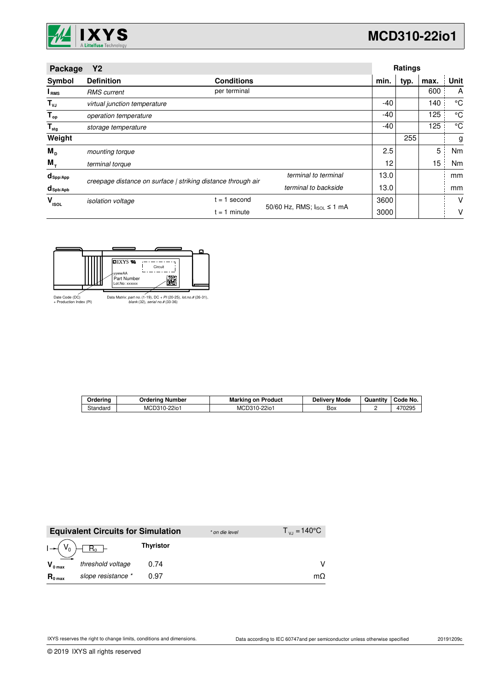

| Package                           | Y2                                                           |                                            |                      |                   | <b>Ratings</b> |      |      |
|-----------------------------------|--------------------------------------------------------------|--------------------------------------------|----------------------|-------------------|----------------|------|------|
| Symbol                            | <b>Definition</b>                                            | <b>Conditions</b>                          |                      | min.              | typ.           | max. | Unit |
| I <sub>RMS</sub>                  | <b>RMS</b> current                                           | per terminal                               |                      |                   |                | 600  | A    |
| $T_{\nu J}$                       | virtual junction temperature                                 |                                            |                      | -40               |                | 140  | °C   |
| $T_{op}$                          | operation temperature                                        |                                            |                      | -40               |                | 125  | °C   |
| $\mathsf{T}_{\text{stg}}$         | storage temperature                                          |                                            |                      | -40               |                | 125  | °C   |
| Weight                            |                                                              |                                            |                      |                   | 255            |      | g    |
| $M_{\text{D}}$                    | mounting torque                                              |                                            |                      | 2.5               |                | 5    | Nm   |
| $M_{T}$                           | terminal torque                                              |                                            |                      | $12 \overline{ }$ |                | 15   | Nm   |
| $d_{\mathsf{Spp/App}}$            | creepage distance on surface   striking distance through air |                                            | terminal to terminal | 13.0              |                |      | mm   |
| $d_{\mathsf{Spb} / \mathsf{Apb}}$ |                                                              |                                            | terminal to backside | 13.0              |                |      | mm   |
| $V_{\rm ISOL}$                    | <i>isolation</i> voltage                                     | $= 1$ second                               |                      | 3600              |                |      | V    |
|                                   |                                                              | 50/60 Hz, RMS; IsoL ≤ 1 mA<br>$= 1$ minute |                      | 3000              |                |      | V    |



| Orderina | Ordering<br>. Number | Marking<br>Product<br>on      | Deliverv Mode | Quantity | Code No.       |
|----------|----------------------|-------------------------------|---------------|----------|----------------|
| Standard | MCD310-2<br>$-22i$ o | 22io <sub>1</sub><br>MCD310-2 | Box           |          | 170205<br>∪∠ສວ |

|                       | <b>Equivalent Circuits for Simulation</b> |                  | * on die level | $T_{V1} = 140^{\circ}C$ |
|-----------------------|-------------------------------------------|------------------|----------------|-------------------------|
| $I \rightarrow (V_0)$ | $R_0$ –                                   | <b>Thyristor</b> |                |                         |
| $V_{0 \text{ max}}$   | threshold voltage                         | 0.74             |                |                         |
| $R_{0 \text{ max}}$   | slope resistance *                        | 0.97             |                | mΩ                      |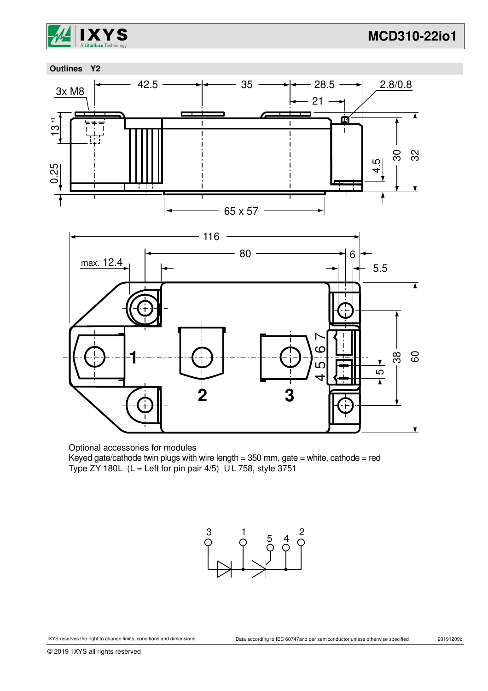



Optional accessories for modules

Keyed gate/cathode twin plugs with wire length =  $350$  mm, gate = white, cathode = red Type ZY 180L ( $L =$  Left for pin pair 4/5) UL 758, style 3751

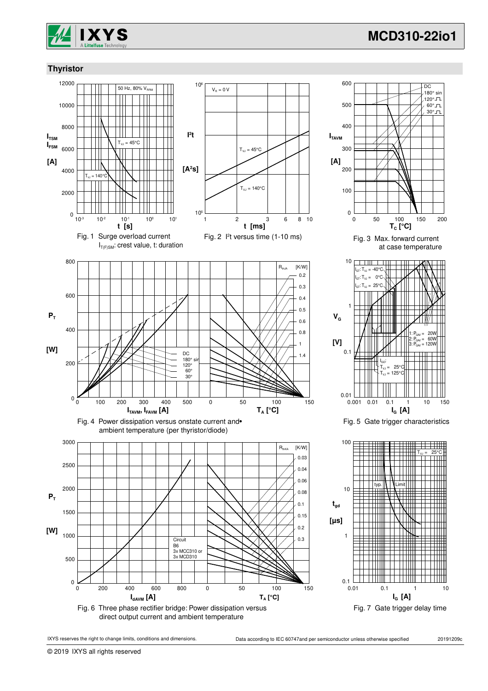

 $\overline{DC}$ 180° sin 120°JL  $60^\circ$ JL 30°JL

200

2

1:  $P_{\text{GAV}} = 20W$ 2:  $P_{\text{GAV}} = 60W$ 3: P<sub>GAV</sub> = 120W

 $10$ 

 $T_{\text{VJ}} = 25^{\circ}\text{C}$ 

 $125^\circ$ 

**IG [A]**

**IG [A]**

### **Thyristor**